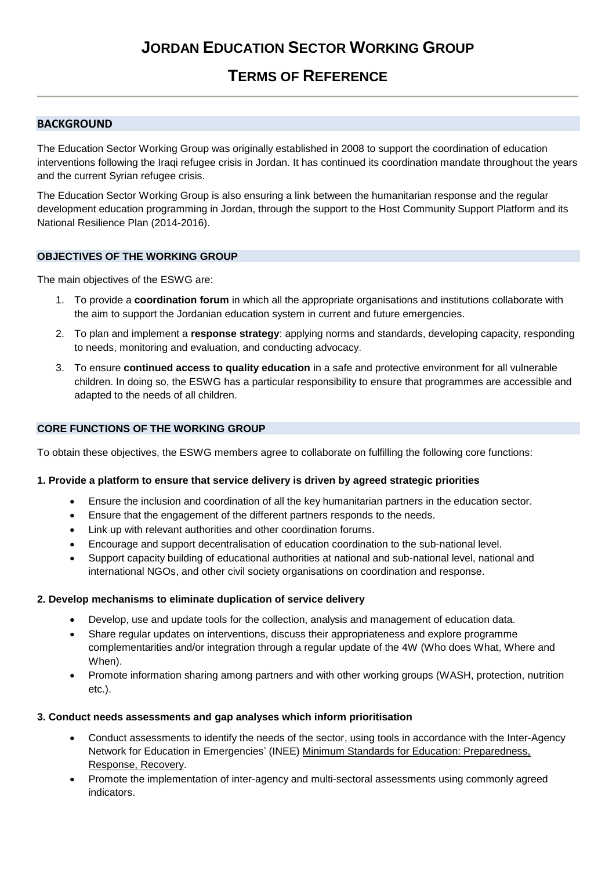# **TERMS OF REFERENCE**

# **BACKGROUND**

The Education Sector Working Group was originally established in 2008 to support the coordination of education interventions following the Iraqi refugee crisis in Jordan. It has continued its coordination mandate throughout the years and the current Syrian refugee crisis.

The Education Sector Working Group is also ensuring a link between the humanitarian response and the regular development education programming in Jordan, through the support to the Host Community Support Platform and its National Resilience Plan (2014-2016).

## **OBJECTIVES OF THE WORKING GROUP**

The main objectives of the ESWG are:

- 1. To provide a **coordination forum** in which all the appropriate organisations and institutions collaborate with the aim to support the Jordanian education system in current and future emergencies.
- 2. To plan and implement a **response strategy**: applying norms and standards, developing capacity, responding to needs, monitoring and evaluation, and conducting advocacy.
- 3. To ensure **continued access to quality education** in a safe and protective environment for all vulnerable children. In doing so, the ESWG has a particular responsibility to ensure that programmes are accessible and adapted to the needs of all children.

# **CORE FUNCTIONS OF THE WORKING GROUP**

To obtain these objectives, the ESWG members agree to collaborate on fulfilling the following core functions:

## **1. Provide a platform to ensure that service delivery is driven by agreed strategic priorities**

- Ensure the inclusion and coordination of all the key humanitarian partners in the education sector.
- Ensure that the engagement of the different partners responds to the needs.
- Link up with relevant authorities and other coordination forums.
- Encourage and support decentralisation of education coordination to the sub-national level.
- Support capacity building of educational authorities at national and sub-national level, national and international NGOs, and other civil society organisations on coordination and response.

## **2. Develop mechanisms to eliminate duplication of service delivery**

- Develop, use and update tools for the collection, analysis and management of education data.
- Share regular updates on interventions, discuss their appropriateness and explore programme complementarities and/or integration through a regular update of the 4W (Who does What, Where and When).
- Promote information sharing among partners and with other working groups (WASH, protection, nutrition etc.).

## **3. Conduct needs assessments and gap analyses which inform prioritisation**

- Conduct assessments to identify the needs of the sector, using tools in accordance with the Inter-Agency Network for Education in Emergencies' (INEE) [Minimum Standards for Education: Preparedness,](http://toolkit.ineesite.org/toolkit/INEEcms/uploads/1012/INEE_GuideBook_EN_2012%20LoRes.pdf)  [Response, Recovery.](http://toolkit.ineesite.org/toolkit/INEEcms/uploads/1012/INEE_GuideBook_EN_2012%20LoRes.pdf)
- Promote the implementation of inter-agency and multi-sectoral assessments using commonly agreed indicators.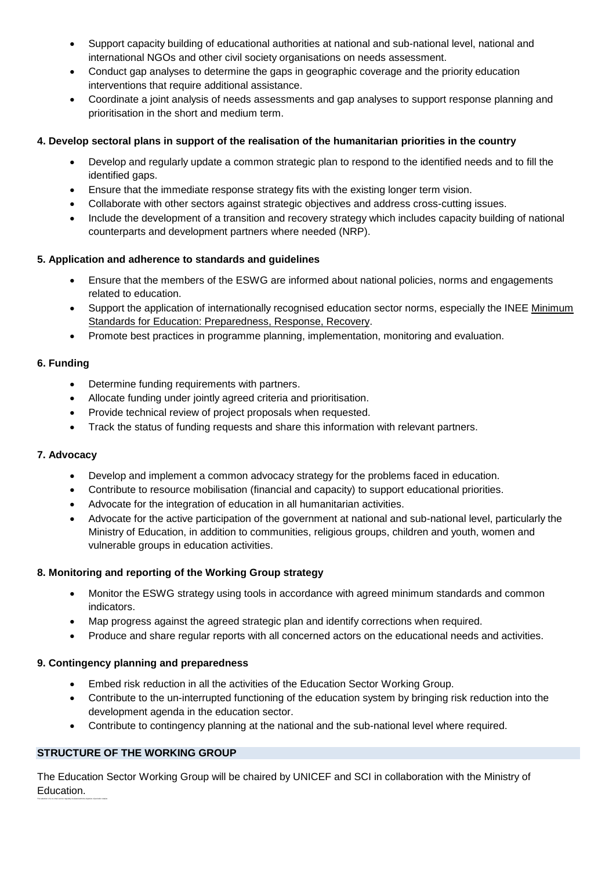- Support capacity building of educational authorities at national and sub-national level, national and international NGOs and other civil society organisations on needs assessment.
- Conduct gap analyses to determine the gaps in geographic coverage and the priority education interventions that require additional assistance.
- Coordinate a joint analysis of needs assessments and gap analyses to support response planning and prioritisation in the short and medium term.

# **4. Develop sectoral plans in support of the realisation of the humanitarian priorities in the country**

- Develop and regularly update a common strategic plan to respond to the identified needs and to fill the identified gaps.
- Ensure that the immediate response strategy fits with the existing longer term vision.
- Collaborate with other sectors against strategic objectives and address cross-cutting issues.
- Include the development of a transition and recovery strategy which includes capacity building of national counterparts and development partners where needed (NRP).

## **5. Application and adherence to standards and guidelines**

- Ensure that the members of the ESWG are informed about national policies, norms and engagements related to education.
- Support the application of internationally recognised education sector norms, especially the INEE [Minimum](http://toolkit.ineesite.org/toolkit/INEEcms/uploads/1012/INEE_GuideBook_EN_2012%20LoRes.pdf)  [Standards for Education: Preparedness, Response, Recovery.](http://toolkit.ineesite.org/toolkit/INEEcms/uploads/1012/INEE_GuideBook_EN_2012%20LoRes.pdf)
- Promote best practices in programme planning, implementation, monitoring and evaluation.

## **6. Funding**

- Determine funding requirements with partners.
- Allocate funding under jointly agreed criteria and prioritisation.
- Provide technical review of project proposals when requested.
- Track the status of funding requests and share this information with relevant partners.

## **7. Advocacy**

- Develop and implement a common advocacy strategy for the problems faced in education.
- Contribute to resource mobilisation (financial and capacity) to support educational priorities.
- Advocate for the integration of education in all humanitarian activities.
- Advocate for the active participation of the government at national and sub-national level, particularly the Ministry of Education, in addition to communities, religious groups, children and youth, women and vulnerable groups in education activities.

## **8. Monitoring and reporting of the Working Group strategy**

- Monitor the ESWG strategy using tools in accordance with agreed minimum standards and common indicators.
- Map progress against the agreed strategic plan and identify corrections when required.
- Produce and share regular reports with all concerned actors on the educational needs and activities.

## **9. Contingency planning and preparedness**

- Embed risk reduction in all the activities of the Education Sector Working Group.
- Contribute to the un-interrupted functioning of the education system by bringing risk reduction into the development agenda in the education sector.
- Contribute to contingency planning at the national and the sub-national level where required.

# **STRUCTURE OF THE WORKING GROUP**

The selection of a co-chair can be regularly reviewed with the objective of periodic rotation.

The Education Sector Working Group will be chaired by UNICEF and SCI in collaboration with the Ministry of Education.